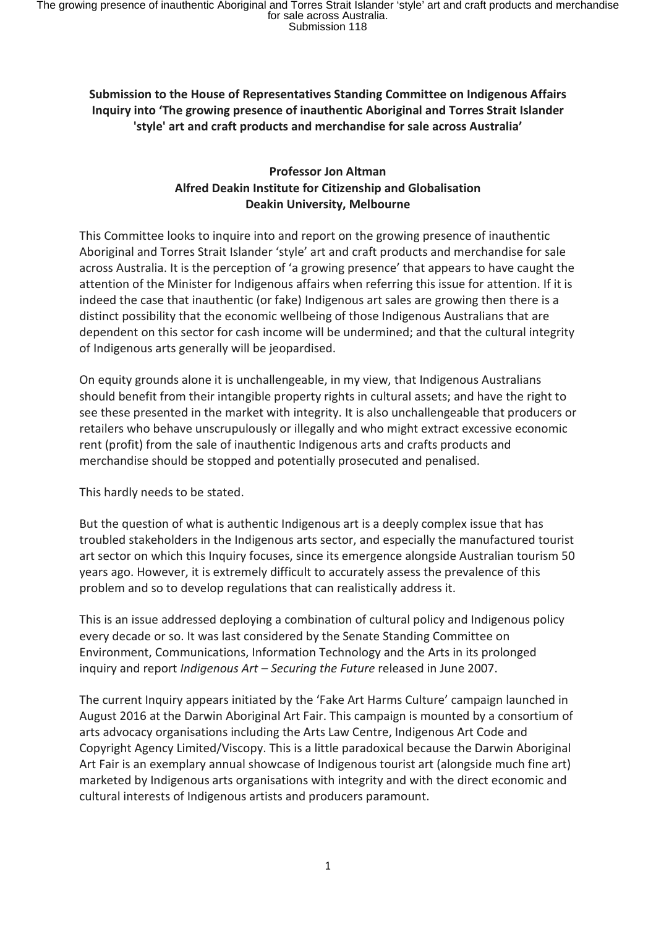# **Submission to the House of Representatives Standing Committee on Indigenous Affairs Inquiry into 'The growing presence of inauthentic Aboriginal and Torres Strait Islander 'style' art and craft products and merchandise for sale across Australia'**

#### **Professor Jon Altman Alfred Deakin Institute for Citizenship and Globalisation Deakin University, Melbourne**

This Committee looks to inquire into and report on the growing presence of inauthentic Aboriginal and Torres Strait Islander 'style' art and craft products and merchandise for sale across Australia. It is the perception of 'a growing presence' that appears to have caught the attention of the Minister for Indigenous affairs when referring this issue for attention. If it is indeed the case that inauthentic (or fake) Indigenous art sales are growing then there is a distinct possibility that the economic wellbeing of those Indigenous Australians that are dependent on this sector for cash income will be undermined; and that the cultural integrity of Indigenous arts generally will be jeopardised.

On equity grounds alone it is unchallengeable, in my view, that Indigenous Australians should benefit from their intangible property rights in cultural assets; and have the right to see these presented in the market with integrity. It is also unchallengeable that producers or retailers who behave unscrupulously or illegally and who might extract excessive economic rent (profit) from the sale of inauthentic Indigenous arts and crafts products and merchandise should be stopped and potentially prosecuted and penalised.

This hardly needs to be stated.

But the question of what is authentic Indigenous art is a deeply complex issue that has troubled stakeholders in the Indigenous arts sector, and especially the manufactured tourist art sector on which this Inquiry focuses, since its emergence alongside Australian tourism 50 years ago. However, it is extremely difficult to accurately assess the prevalence of this problem and so to develop regulations that can realistically address it.

This is an issue addressed deploying a combination of cultural policy and Indigenous policy every decade or so. It was last considered by the Senate Standing Committee on Environment, Communications, Information Technology and the Arts in its prolonged inquiry and report *Indigenous Art – Securing the Future* released in June 2007.

The current Inquiry appears initiated by the 'Fake Art Harms Culture' campaign launched in August 2016 at the Darwin Aboriginal Art Fair. This campaign is mounted by a consortium of arts advocacy organisations including the Arts Law Centre, Indigenous Art Code and Copyright Agency Limited/Viscopy. This is a little paradoxical because the Darwin Aboriginal Art Fair is an exemplary annual showcase of Indigenous tourist art (alongside much fine art) marketed by Indigenous arts organisations with integrity and with the direct economic and cultural interests of Indigenous artists and producers paramount.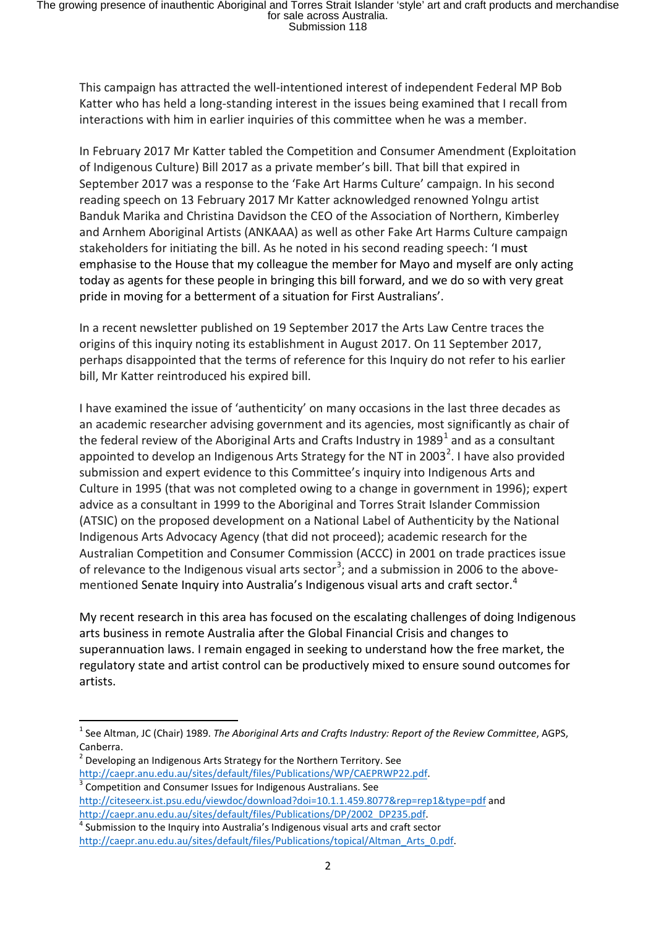This campaign has attracted the well-intentioned interest of independent Federal MP Bob Katter who has held a long-standing interest in the issues being examined that I recall from interactions with him in earlier inquiries of this committee when he was a member.

In February 2017 Mr Katter tabled the Competition and Consumer Amendment (Exploitation of Indigenous Culture) Bill 2017 as a private member's bill. That bill that expired in September 2017 was a response to the 'Fake Art Harms Culture' campaign. In his second reading speech on 13 February 2017 Mr Katter acknowledged renowned Yolngu artist Banduk Marika and Christina Davidson the CEO of the Association of Northern, Kimberley and Arnhem Aboriginal Artists (ANKAAA) as well as other Fake Art Harms Culture campaign stakeholders for initiating the bill. As he noted in his second reading speech: 'I must emphasise to the House that my colleague the member for Mayo and myself are only acting today as agents for these people in bringing this bill forward, and we do so with very great pride in moving for a betterment of a situation for First Australians'.

In a recent newsletter published on 19 September 2017 the Arts Law Centre traces the origins of this inquiry noting its establishment in August 2017. On 11 September 2017, perhaps disappointed that the terms of reference for this Inquiry do not refer to his earlier bill, Mr Katter reintroduced his expired bill.

I have examined the issue of 'authenticity' on many occasions in the last three decades as an academic researcher advising government and its agencies, most significantly as chair of the federal review of the Aboriginal Arts and Crafts Industry in [1](#page-1-0)989<sup>1</sup> and as a consultant appointed to develop an Indigenous Arts Strategy for the NT in [2](#page-1-1)003<sup>2</sup>. I have also provided submission and expert evidence to this Committee's inquiry into Indigenous Arts and Culture in 1995 (that was not completed owing to a change in government in 1996); expert advice as a consultant in 1999 to the Aboriginal and Torres Strait Islander Commission (ATSIC) on the proposed development on a National Label of Authenticity by the National Indigenous Arts Advocacy Agency (that did not proceed); academic research for the Australian Competition and Consumer Commission (ACCC) in 2001 on trade practices issue of relevance to the Indigenous visual arts sector<sup>[3](#page-1-2)</sup>; and a submission in 2006 to the above-mentioned Senate Inquiry into Australia's Indigenous visual arts and craft sector.<sup>[4](#page-1-3)</sup>

My recent research in this area has focused on the escalating challenges of doing Indigenous arts business in remote Australia after the Global Financial Crisis and changes to superannuation laws. I remain engaged in seeking to understand how the free market, the regulatory state and artist control can be productively mixed to ensure sound outcomes for artists.

<span id="page-1-2"></span><http://citeseerx.ist.psu.edu/viewdoc/download?doi=10.1.1.459.8077&rep=rep1&type=pdf> and

<span id="page-1-0"></span> <sup>1</sup> See Altman, JC (Chair) 1989. *The Aboriginal Arts and Crafts Industry: Report of the Review Committee*, AGPS, Canberra.

<sup>2</sup> Developing an Indigenous Arts Strategy for the Northern Territory. See

<span id="page-1-1"></span>[http://caepr.anu.edu.au/sites/default/files/Publications/WP/CAEPRWP22.pdf.](http://caepr.anu.edu.au/sites/default/files/Publications/WP/CAEPRWP22.pdf)<br>
<sup>[3](http://caepr.anu.edu.au/sites/default/files/Publications/WP/CAEPRWP22.pdf)</sup> Competition and Consumer Issues for Indigenous Australians. See

http://caepr.anu.edu.au/sites/default/files/Publications/DP/2002\_DP235.pdf.<br><sup>4</sup> Submission to the Inquiry into Australia's Indigenous visual arts and craft sector

<span id="page-1-3"></span>[http://caepr.anu.edu.au/sites/default/files/Publications/topical/Altman\\_Arts\\_0.pdf.](http://caepr.anu.edu.au/sites/default/files/Publications/topical/Altman_Arts_0.pdf)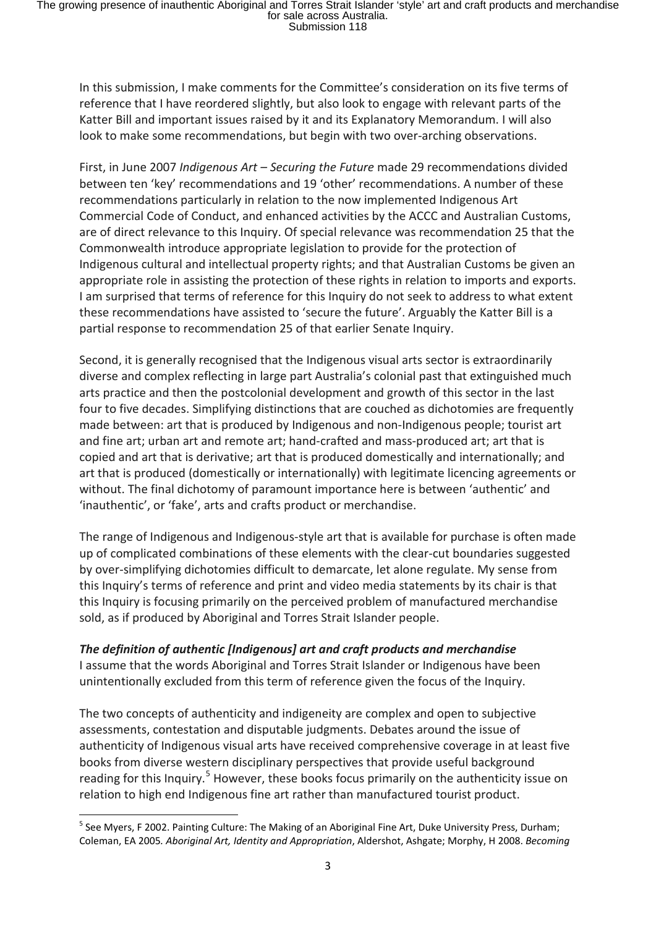In this submission, I make comments for the Committee's consideration on its five terms of reference that I have reordered slightly, but also look to engage with relevant parts of the Katter Bill and important issues raised by it and its Explanatory Memorandum. I will also look to make some recommendations, but begin with two over-arching observations.

First, in June 2007 *Indigenous Art – Securing the Future* made 29 recommendations divided between ten 'key' recommendations and 19 'other' recommendations. A number of these recommendations particularly in relation to the now implemented Indigenous Art Commercial Code of Conduct, and enhanced activities by the ACCC and Australian Customs, are of direct relevance to this Inquiry. Of special relevance was recommendation 25 that the Commonwealth introduce appropriate legislation to provide for the protection of Indigenous cultural and intellectual property rights; and that Australian Customs be given an appropriate role in assisting the protection of these rights in relation to imports and exports. I am surprised that terms of reference for this Inquiry do not seek to address to what extent these recommendations have assisted to 'secure the future'. Arguably the Katter Bill is a partial response to recommendation 25 of that earlier Senate Inquiry.

Second, it is generally recognised that the Indigenous visual arts sector is extraordinarily diverse and complex reflecting in large part Australia's colonial past that extinguished much arts practice and then the postcolonial development and growth of this sector in the last four to five decades. Simplifying distinctions that are couched as dichotomies are frequently made between: art that is produced by Indigenous and non-Indigenous people; tourist art and fine art; urban art and remote art; hand-crafted and mass-produced art; art that is copied and art that is derivative; art that is produced domestically and internationally; and art that is produced (domestically or internationally) with legitimate licencing agreements or without. The final dichotomy of paramount importance here is between 'authentic' and 'inauthentic', or 'fake', arts and crafts product or merchandise.

The range of Indigenous and Indigenous-style art that is available for purchase is often made up of complicated combinations of these elements with the clear-cut boundaries suggested by over-simplifying dichotomies difficult to demarcate, let alone regulate. My sense from this Inquiry's terms of reference and print and video media statements by its chair is that this Inquiry is focusing primarily on the perceived problem of manufactured merchandise sold, as if produced by Aboriginal and Torres Strait Islander people.

### *The definition of authentic [Indigenous] art and craft products and merchandise*

I assume that the words Aboriginal and Torres Strait Islander or Indigenous have been unintentionally excluded from this term of reference given the focus of the Inquiry.

The two concepts of authenticity and indigeneity are complex and open to subjective assessments, contestation and disputable judgments. Debates around the issue of authenticity of Indigenous visual arts have received comprehensive coverage in at least five books from diverse western disciplinary perspectives that provide useful background reading for this Inquiry.<sup>[5](#page-2-0)</sup> However, these books focus primarily on the authenticity issue on relation to high end Indigenous fine art rather than manufactured tourist product.

<span id="page-2-0"></span><sup>&</sup>lt;sup>5</sup> See Myers, F 2002. Painting Culture: The Making of an Aboriginal Fine Art, Duke University Press, Durham; Coleman, EA 2005*. Aboriginal Art, Identity and Appropriation*, Aldershot, Ashgate; Morphy, H 2008. *Becoming*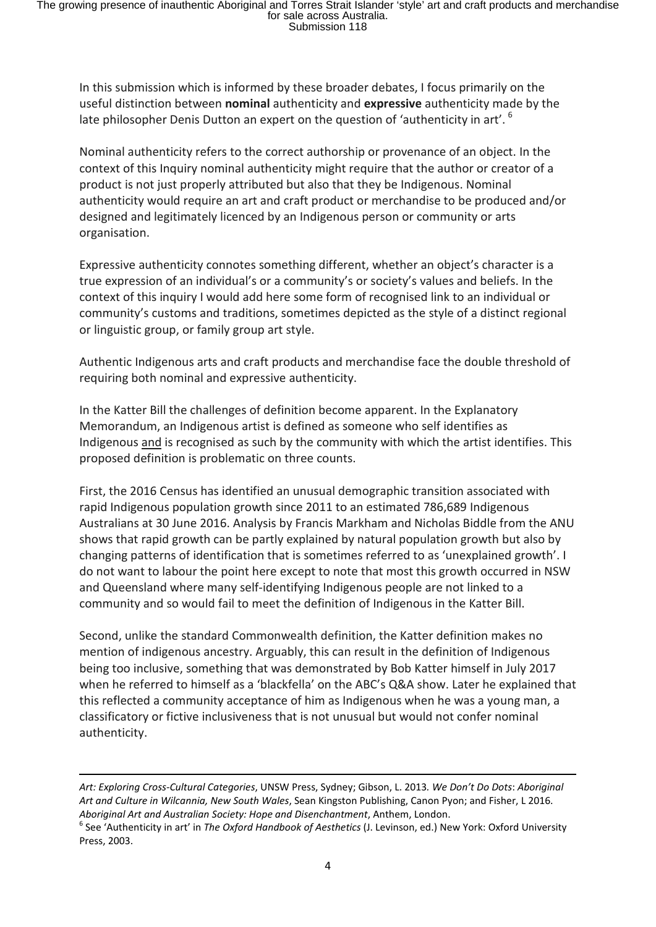In this submission which is informed by these broader debates, I focus primarily on the useful distinction between **nominal** authenticity and **expressive** authenticity made by the late philosopher Denis Dutton an expert on the question of 'authenticity in art'.<sup>[6](#page-3-0)</sup>

Nominal authenticity refers to the correct authorship or provenance of an object. In the context of this Inquiry nominal authenticity might require that the author or creator of a product is not just properly attributed but also that they be Indigenous. Nominal authenticity would require an art and craft product or merchandise to be produced and/or designed and legitimately licenced by an Indigenous person or community or arts organisation.

Expressive authenticity connotes something different, whether an object's character is a true expression of an individual's or a community's or society's values and beliefs. In the context of this inquiry I would add here some form of recognised link to an individual or community's customs and traditions, sometimes depicted as the style of a distinct regional or linguistic group, or family group art style.

Authentic Indigenous arts and craft products and merchandise face the double threshold of requiring both nominal and expressive authenticity.

In the Katter Bill the challenges of definition become apparent. In the Explanatory Memorandum, an Indigenous artist is defined as someone who self identifies as Indigenous and is recognised as such by the community with which the artist identifies. This proposed definition is problematic on three counts.

First, the 2016 Census has identified an unusual demographic transition associated with rapid Indigenous population growth since 2011 to an estimated 786,689 Indigenous Australians at 30 June 2016. Analysis by Francis Markham and Nicholas Biddle from the ANU shows that rapid growth can be partly explained by natural population growth but also by changing patterns of identification that is sometimes referred to as 'unexplained growth'. I do not want to labour the point here except to note that most this growth occurred in NSW and Queensland where many self-identifying Indigenous people are not linked to a community and so would fail to meet the definition of Indigenous in the Katter Bill.

Second, unlike the standard Commonwealth definition, the Katter definition makes no mention of indigenous ancestry. Arguably, this can result in the definition of Indigenous being too inclusive, something that was demonstrated by Bob Katter himself in July 2017 when he referred to himself as a 'blackfella' on the ABC's Q&A show. Later he explained that this reflected a community acceptance of him as Indigenous when he was a young man, a classificatory or fictive inclusiveness that is not unusual but would not confer nominal authenticity.

*Art: Exploring Cross-Cultural Categories*, UNSW Press, Sydney; Gibson, L. 2013*. We Don't Do Dots*: *Aboriginal Art and Culture in Wilcannia, New South Wales*, Sean Kingston Publishing, Canon Pyon; and Fisher, L 2016.

**.** 

<span id="page-3-0"></span>*Aboriginal Art and Australian Society: Hope and Disenchantment*, Anthem, London.<br><sup>6</sup> See 'Authenticity in art' in *The Oxford Handbook of Aesthetics* (J. Levinson, ed.) New York: Oxford University Press, 2003.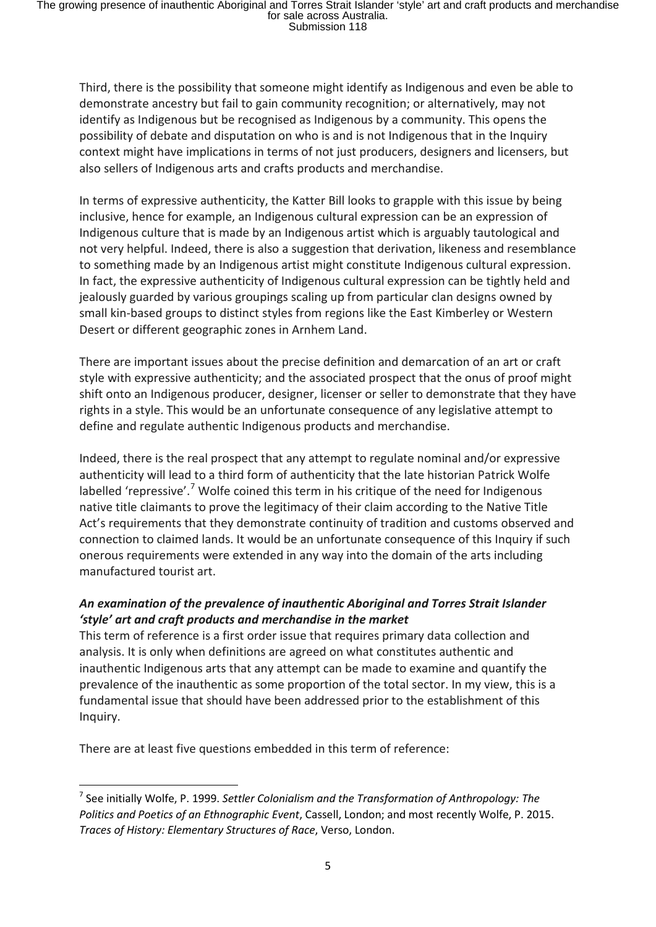Third, there is the possibility that someone might identify as Indigenous and even be able to demonstrate ancestry but fail to gain community recognition; or alternatively, may not identify as Indigenous but be recognised as Indigenous by a community. This opens the possibility of debate and disputation on who is and is not Indigenous that in the Inquiry context might have implications in terms of not just producers, designers and licensers, but also sellers of Indigenous arts and crafts products and merchandise.

In terms of expressive authenticity, the Katter Bill looks to grapple with this issue by being inclusive, hence for example, an Indigenous cultural expression can be an expression of Indigenous culture that is made by an Indigenous artist which is arguably tautological and not very helpful. Indeed, there is also a suggestion that derivation, likeness and resemblance to something made by an Indigenous artist might constitute Indigenous cultural expression. In fact, the expressive authenticity of Indigenous cultural expression can be tightly held and jealously guarded by various groupings scaling up from particular clan designs owned by small kin-based groups to distinct styles from regions like the East Kimberley or Western Desert or different geographic zones in Arnhem Land.

There are important issues about the precise definition and demarcation of an art or craft style with expressive authenticity; and the associated prospect that the onus of proof might shift onto an Indigenous producer, designer, licenser or seller to demonstrate that they have rights in a style. This would be an unfortunate consequence of any legislative attempt to define and regulate authentic Indigenous products and merchandise.

Indeed, there is the real prospect that any attempt to regulate nominal and/or expressive authenticity will lead to a third form of authenticity that the late historian Patrick Wolfe labelled 'repressive'.<sup>[7](#page-4-0)</sup> Wolfe coined this term in his critique of the need for Indigenous native title claimants to prove the legitimacy of their claim according to the Native Title Act's requirements that they demonstrate continuity of tradition and customs observed and connection to claimed lands. It would be an unfortunate consequence of this Inquiry if such onerous requirements were extended in any way into the domain of the arts including manufactured tourist art.

# *An examination of the prevalence of inauthentic Aboriginal and Torres Strait Islander 'style' art and craft products and merchandise in the market*

This term of reference is a first order issue that requires primary data collection and analysis. It is only when definitions are agreed on what constitutes authentic and inauthentic Indigenous arts that any attempt can be made to examine and quantify the prevalence of the inauthentic as some proportion of the total sector. In my view, this is a fundamental issue that should have been addressed prior to the establishment of this Inquiry.

There are at least five questions embedded in this term of reference:

<span id="page-4-0"></span> <sup>7</sup> See initially Wolfe, P. 1999. *Settler Colonialism and the Transformation of Anthropology: The Politics and Poetics of an Ethnographic Event*, Cassell, London; and most recently Wolfe, P. 2015. *Traces of History: Elementary Structures of Race*, Verso, London.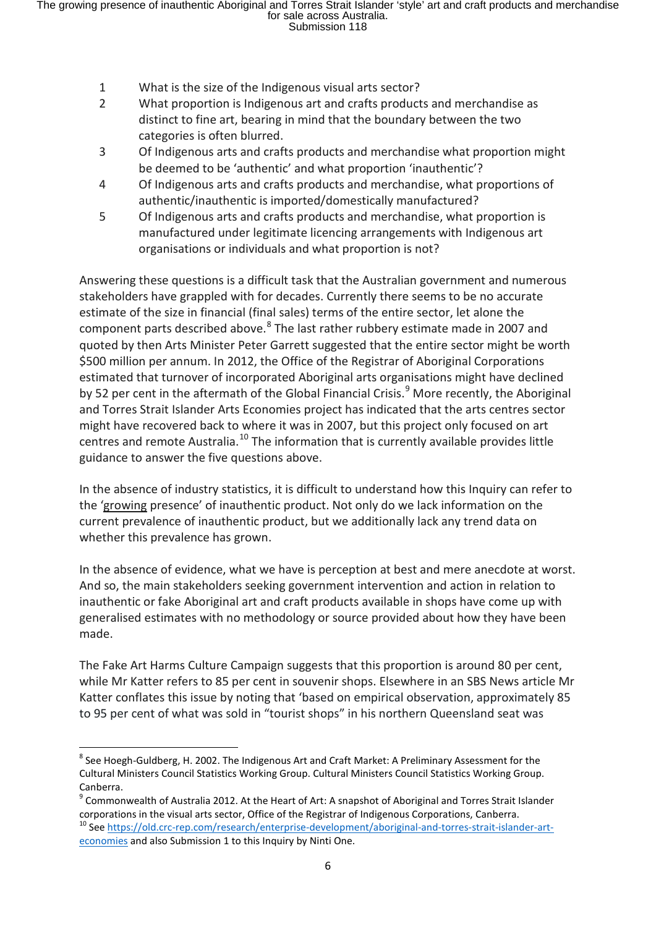- 1 What is the size of the Indigenous visual arts sector?
- 2 What proportion is Indigenous art and crafts products and merchandise as distinct to fine art, bearing in mind that the boundary between the two categories is often blurred.
- 3 Of Indigenous arts and crafts products and merchandise what proportion might be deemed to be 'authentic' and what proportion 'inauthentic'?
- 4 Of Indigenous arts and crafts products and merchandise, what proportions of authentic/inauthentic is imported/domestically manufactured?
- 5 Of Indigenous arts and crafts products and merchandise, what proportion is manufactured under legitimate licencing arrangements with Indigenous art organisations or individuals and what proportion is not?

Answering these questions is a difficult task that the Australian government and numerous stakeholders have grappled with for decades. Currently there seems to be no accurate estimate of the size in financial (final sales) terms of the entire sector, let alone the component parts described above.<sup>[8](#page-5-0)</sup> The last rather rubbery estimate made in 2007 and quoted by then Arts Minister Peter Garrett suggested that the entire sector might be worth \$500 million per annum. In 2012, the Office of the Registrar of Aboriginal Corporations estimated that turnover of incorporated Aboriginal arts organisations might have declined by 52 per cent in the aftermath of the Global Financial Crisis.<sup>[9](#page-5-1)</sup> More recently, the Aboriginal and Torres Strait Islander Arts Economies project has indicated that the arts centres sector might have recovered back to where it was in 2007, but this project only focused on art centres and remote Australia.<sup>[10](#page-5-2)</sup> The information that is currently available provides little guidance to answer the five questions above.

In the absence of industry statistics, it is difficult to understand how this Inquiry can refer to the 'growing presence' of inauthentic product. Not only do we lack information on the current prevalence of inauthentic product, but we additionally lack any trend data on whether this prevalence has grown.

In the absence of evidence, what we have is perception at best and mere anecdote at worst. And so, the main stakeholders seeking government intervention and action in relation to inauthentic or fake Aboriginal art and craft products available in shops have come up with generalised estimates with no methodology or source provided about how they have been made.

The Fake Art Harms Culture Campaign suggests that this proportion is around 80 per cent, while Mr Katter refers to 85 per cent in souvenir shops. Elsewhere in an SBS News article Mr Katter conflates this issue by noting that 'based on empirical observation, approximately 85 to 95 per cent of what was sold in "tourist shops" in his northern Queensland seat was

<span id="page-5-0"></span><sup>&</sup>lt;sup>8</sup> See Hoegh-Guldberg, H. 2002. The Indigenous Art and Craft Market: A Preliminary Assessment for the Cultural Ministers Council Statistics Working Group. Cultural Ministers Council Statistics Working Group. Canberra.

<span id="page-5-1"></span><sup>&</sup>lt;sup>9</sup> Commonwealth of Australia 2012. At the Heart of Art: A snapshot of Aboriginal and Torres Strait Islander corporations in the visual arts sector, Office of the Registrar of Indigenous Corporations, Canberra.<br><sup>10</sup> Se[e https://old.crc-rep.com/research/enterprise-development/aboriginal-and-torres-strait-islander-art-](https://old.crc-rep.com/research/enterprise-development/aboriginal-and-torres-strait-islander-art-economies)

<span id="page-5-2"></span>[economies](https://old.crc-rep.com/research/enterprise-development/aboriginal-and-torres-strait-islander-art-economies) and also Submission 1 to this Inquiry by Ninti One.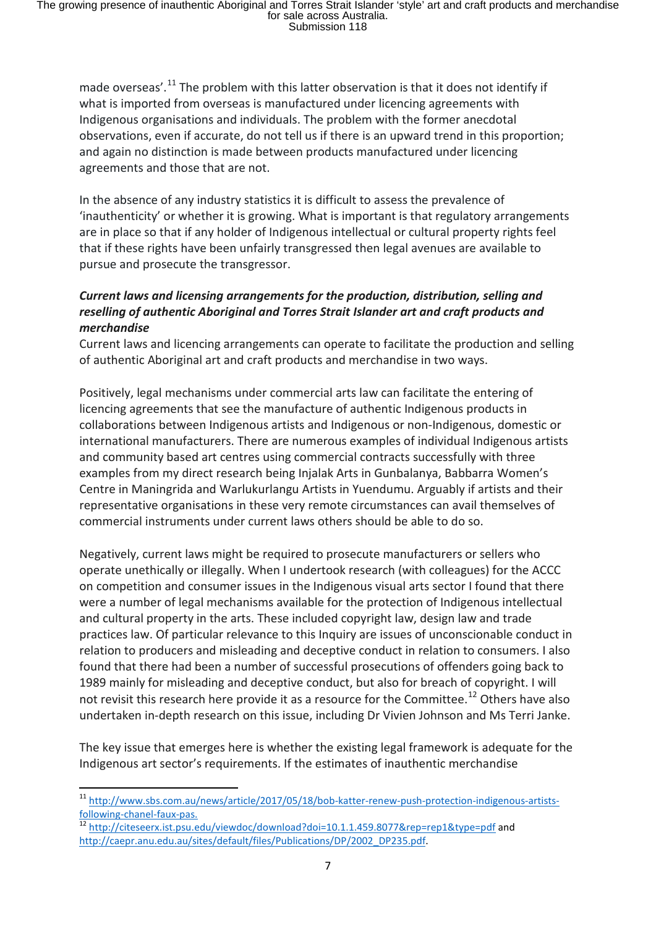made overseas'.<sup>[11](#page-6-0)</sup> The problem with this latter observation is that it does not identify if what is imported from overseas is manufactured under licencing agreements with Indigenous organisations and individuals. The problem with the former anecdotal observations, even if accurate, do not tell us if there is an upward trend in this proportion; and again no distinction is made between products manufactured under licencing agreements and those that are not.

In the absence of any industry statistics it is difficult to assess the prevalence of 'inauthenticity' or whether it is growing. What is important is that regulatory arrangements are in place so that if any holder of Indigenous intellectual or cultural property rights feel that if these rights have been unfairly transgressed then legal avenues are available to pursue and prosecute the transgressor.

### *Current laws and licensing arrangements for the production, distribution, selling and reselling of authentic Aboriginal and Torres Strait Islander art and craft products and merchandise*

Current laws and licencing arrangements can operate to facilitate the production and selling of authentic Aboriginal art and craft products and merchandise in two ways.

Positively, legal mechanisms under commercial arts law can facilitate the entering of licencing agreements that see the manufacture of authentic Indigenous products in collaborations between Indigenous artists and Indigenous or non-Indigenous, domestic or international manufacturers. There are numerous examples of individual Indigenous artists and community based art centres using commercial contracts successfully with three examples from my direct research being Injalak Arts in Gunbalanya, Babbarra Women's Centre in Maningrida and Warlukurlangu Artists in Yuendumu. Arguably if artists and their representative organisations in these very remote circumstances can avail themselves of commercial instruments under current laws others should be able to do so.

Negatively, current laws might be required to prosecute manufacturers or sellers who operate unethically or illegally. When I undertook research (with colleagues) for the ACCC on competition and consumer issues in the Indigenous visual arts sector I found that there were a number of legal mechanisms available for the protection of Indigenous intellectual and cultural property in the arts. These included copyright law, design law and trade practices law. Of particular relevance to this Inquiry are issues of unconscionable conduct in relation to producers and misleading and deceptive conduct in relation to consumers. I also found that there had been a number of successful prosecutions of offenders going back to 1989 mainly for misleading and deceptive conduct, but also for breach of copyright. I will not revisit this research here provide it as a resource for the Committee.<sup>[12](#page-6-1)</sup> Others have also undertaken in-depth research on this issue, including Dr Vivien Johnson and Ms Terri Janke.

The key issue that emerges here is whether the existing legal framework is adequate for the Indigenous art sector's requirements. If the estimates of inauthentic merchandise

<span id="page-6-1"></span>[following-chanel-faux-pas.](http://www.sbs.com.au/news/article/2017/05/18/bob-katter-renew-push-protection-indigenous-artists-following-chanel-faux-pas)<br><sup>[12](http://www.sbs.com.au/news/article/2017/05/18/bob-katter-renew-push-protection-indigenous-artists-following-chanel-faux-pas)</sup> http://citeseerx.ist.psu.edu/viewd<u>oc/download?doi=10.1.1.459.8077&rep=rep1&type=pdf</u> and [http://caepr.anu.edu.au/sites/default/files/Publications/DP/2002\\_DP235.pdf.](http://caepr.anu.edu.au/sites/default/files/Publications/DP/2002_DP235.pdf) 

<span id="page-6-0"></span> <sup>11</sup> [http://www.sbs.com.au/news/article/2017/05/18/bob-katter-renew-push-protection-indigenous-artists-](http://www.sbs.com.au/news/article/2017/05/18/bob-katter-renew-push-protection-indigenous-artists-following-chanel-faux-pas)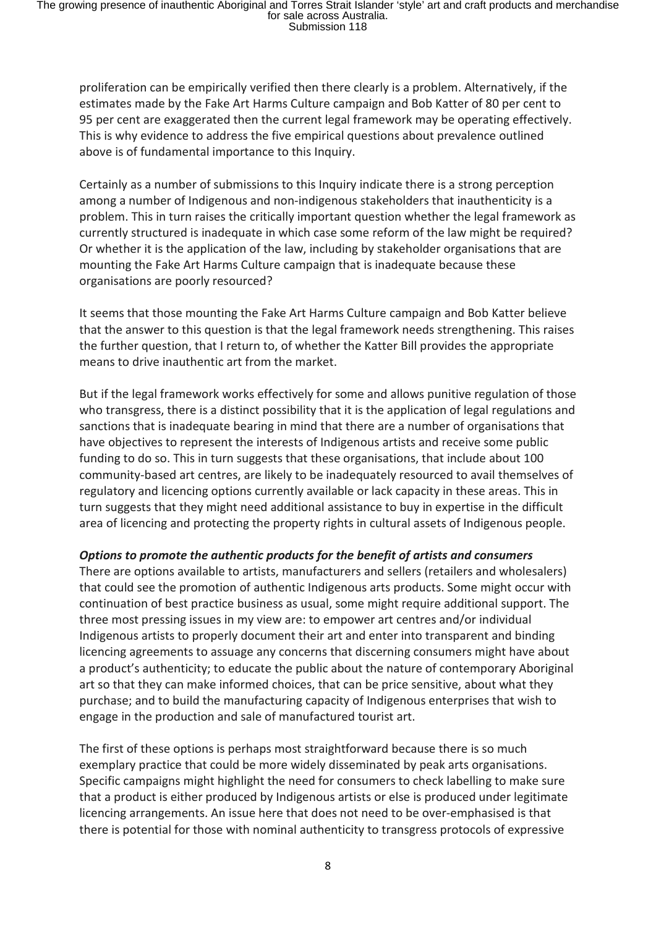proliferation can be empirically verified then there clearly is a problem. Alternatively, if the estimates made by the Fake Art Harms Culture campaign and Bob Katter of 80 per cent to 95 per cent are exaggerated then the current legal framework may be operating effectively. This is why evidence to address the five empirical questions about prevalence outlined above is of fundamental importance to this Inquiry.

Certainly as a number of submissions to this Inquiry indicate there is a strong perception among a number of Indigenous and non-indigenous stakeholders that inauthenticity is a problem. This in turn raises the critically important question whether the legal framework as currently structured is inadequate in which case some reform of the law might be required? Or whether it is the application of the law, including by stakeholder organisations that are mounting the Fake Art Harms Culture campaign that is inadequate because these organisations are poorly resourced?

It seems that those mounting the Fake Art Harms Culture campaign and Bob Katter believe that the answer to this question is that the legal framework needs strengthening. This raises the further question, that I return to, of whether the Katter Bill provides the appropriate means to drive inauthentic art from the market.

But if the legal framework works effectively for some and allows punitive regulation of those who transgress, there is a distinct possibility that it is the application of legal regulations and sanctions that is inadequate bearing in mind that there are a number of organisations that have objectives to represent the interests of Indigenous artists and receive some public funding to do so. This in turn suggests that these organisations, that include about 100 community-based art centres, are likely to be inadequately resourced to avail themselves of regulatory and licencing options currently available or lack capacity in these areas. This in turn suggests that they might need additional assistance to buy in expertise in the difficult area of licencing and protecting the property rights in cultural assets of Indigenous people.

### *Options to promote the authentic products for the benefit of artists and consumers*

There are options available to artists, manufacturers and sellers (retailers and wholesalers) that could see the promotion of authentic Indigenous arts products. Some might occur with continuation of best practice business as usual, some might require additional support. The three most pressing issues in my view are: to empower art centres and/or individual Indigenous artists to properly document their art and enter into transparent and binding licencing agreements to assuage any concerns that discerning consumers might have about a product's authenticity; to educate the public about the nature of contemporary Aboriginal art so that they can make informed choices, that can be price sensitive, about what they purchase; and to build the manufacturing capacity of Indigenous enterprises that wish to engage in the production and sale of manufactured tourist art.

The first of these options is perhaps most straightforward because there is so much exemplary practice that could be more widely disseminated by peak arts organisations. Specific campaigns might highlight the need for consumers to check labelling to make sure that a product is either produced by Indigenous artists or else is produced under legitimate licencing arrangements. An issue here that does not need to be over-emphasised is that there is potential for those with nominal authenticity to transgress protocols of expressive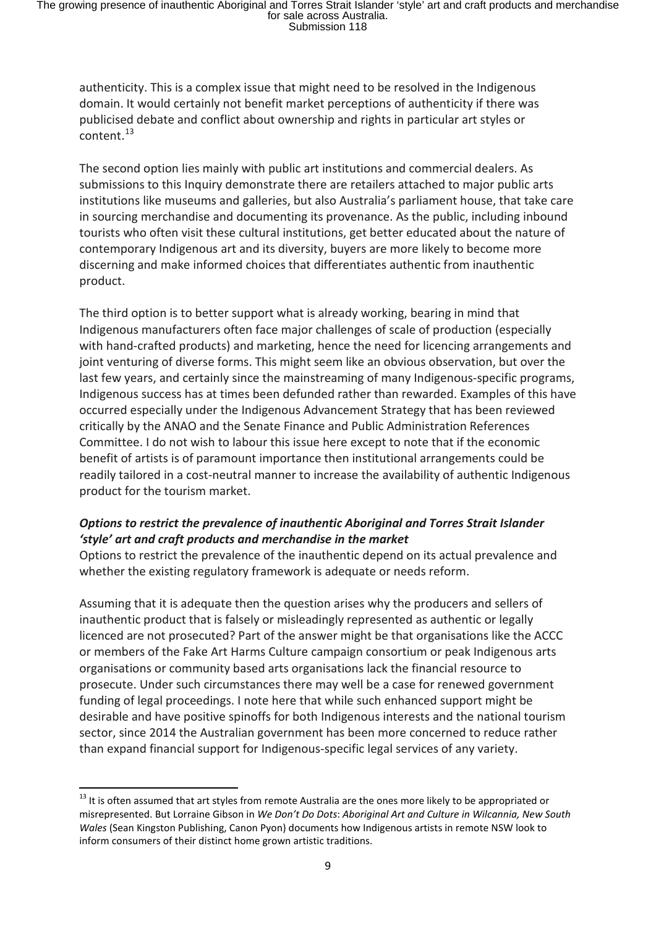authenticity. This is a complex issue that might need to be resolved in the Indigenous domain. It would certainly not benefit market perceptions of authenticity if there was publicised debate and conflict about ownership and rights in particular art styles or content.<sup>[13](#page-8-0)</sup>

The second option lies mainly with public art institutions and commercial dealers. As submissions to this Inquiry demonstrate there are retailers attached to major public arts institutions like museums and galleries, but also Australia's parliament house, that take care in sourcing merchandise and documenting its provenance. As the public, including inbound tourists who often visit these cultural institutions, get better educated about the nature of contemporary Indigenous art and its diversity, buyers are more likely to become more discerning and make informed choices that differentiates authentic from inauthentic product.

The third option is to better support what is already working, bearing in mind that Indigenous manufacturers often face major challenges of scale of production (especially with hand-crafted products) and marketing, hence the need for licencing arrangements and joint venturing of diverse forms. This might seem like an obvious observation, but over the last few years, and certainly since the mainstreaming of many Indigenous-specific programs, Indigenous success has at times been defunded rather than rewarded. Examples of this have occurred especially under the Indigenous Advancement Strategy that has been reviewed critically by the ANAO and the Senate Finance and Public Administration References Committee. I do not wish to labour this issue here except to note that if the economic benefit of artists is of paramount importance then institutional arrangements could be readily tailored in a cost-neutral manner to increase the availability of authentic Indigenous product for the tourism market.

# *Options to restrict the prevalence of inauthentic Aboriginal and Torres Strait Islander 'style' art and craft products and merchandise in the market*

Options to restrict the prevalence of the inauthentic depend on its actual prevalence and whether the existing regulatory framework is adequate or needs reform.

Assuming that it is adequate then the question arises why the producers and sellers of inauthentic product that is falsely or misleadingly represented as authentic or legally licenced are not prosecuted? Part of the answer might be that organisations like the ACCC or members of the Fake Art Harms Culture campaign consortium or peak Indigenous arts organisations or community based arts organisations lack the financial resource to prosecute. Under such circumstances there may well be a case for renewed government funding of legal proceedings. I note here that while such enhanced support might be desirable and have positive spinoffs for both Indigenous interests and the national tourism sector, since 2014 the Australian government has been more concerned to reduce rather than expand financial support for Indigenous-specific legal services of any variety.

<span id="page-8-0"></span><sup>&</sup>lt;sup>13</sup> It is often assumed that art styles from remote Australia are the ones more likely to be appropriated or misrepresented. But Lorraine Gibson in *We Don't Do Dots*: *Aboriginal Art and Culture in Wilcannia, New South Wales* (Sean Kingston Publishing, Canon Pyon) documents how Indigenous artists in remote NSW look to inform consumers of their distinct home grown artistic traditions.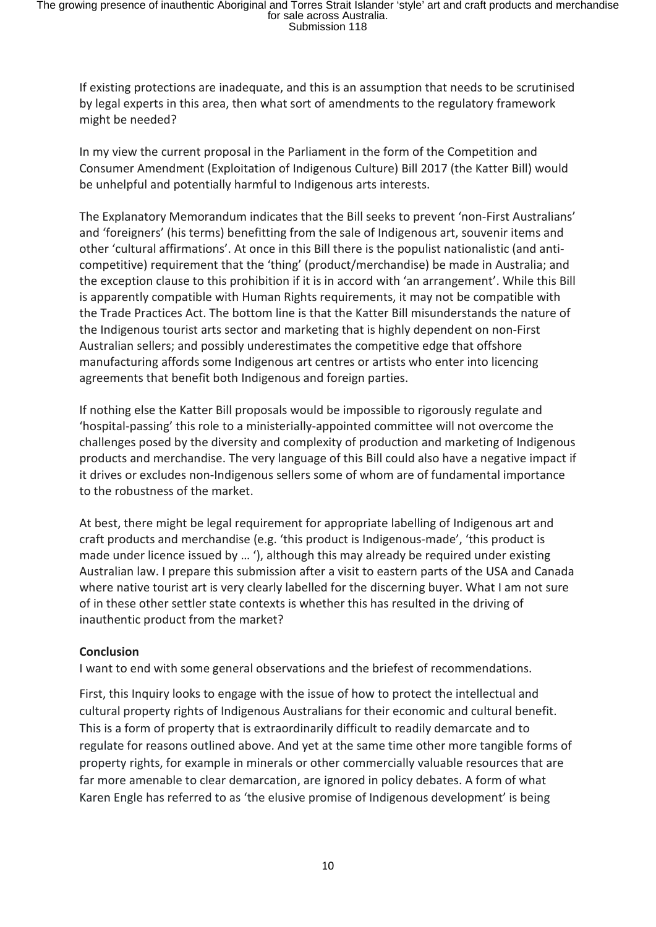If existing protections are inadequate, and this is an assumption that needs to be scrutinised by legal experts in this area, then what sort of amendments to the regulatory framework might be needed?

In my view the current proposal in the Parliament in the form of the Competition and Consumer Amendment (Exploitation of Indigenous Culture) Bill 2017 (the Katter Bill) would be unhelpful and potentially harmful to Indigenous arts interests.

The Explanatory Memorandum indicates that the Bill seeks to prevent 'non-First Australians' and 'foreigners' (his terms) benefitting from the sale of Indigenous art, souvenir items and other 'cultural affirmations'. At once in this Bill there is the populist nationalistic (and anticompetitive) requirement that the 'thing' (product/merchandise) be made in Australia; and the exception clause to this prohibition if it is in accord with 'an arrangement'. While this Bill is apparently compatible with Human Rights requirements, it may not be compatible with the Trade Practices Act. The bottom line is that the Katter Bill misunderstands the nature of the Indigenous tourist arts sector and marketing that is highly dependent on non-First Australian sellers; and possibly underestimates the competitive edge that offshore manufacturing affords some Indigenous art centres or artists who enter into licencing agreements that benefit both Indigenous and foreign parties.

If nothing else the Katter Bill proposals would be impossible to rigorously regulate and 'hospital-passing' this role to a ministerially-appointed committee will not overcome the challenges posed by the diversity and complexity of production and marketing of Indigenous products and merchandise. The very language of this Bill could also have a negative impact if it drives or excludes non-Indigenous sellers some of whom are of fundamental importance to the robustness of the market.

At best, there might be legal requirement for appropriate labelling of Indigenous art and craft products and merchandise (e.g. 'this product is Indigenous-made', 'this product is made under licence issued by … '), although this may already be required under existing Australian law. I prepare this submission after a visit to eastern parts of the USA and Canada where native tourist art is very clearly labelled for the discerning buyer. What I am not sure of in these other settler state contexts is whether this has resulted in the driving of inauthentic product from the market?

### **Conclusion**

I want to end with some general observations and the briefest of recommendations.

First, this Inquiry looks to engage with the issue of how to protect the intellectual and cultural property rights of Indigenous Australians for their economic and cultural benefit. This is a form of property that is extraordinarily difficult to readily demarcate and to regulate for reasons outlined above. And yet at the same time other more tangible forms of property rights, for example in minerals or other commercially valuable resources that are far more amenable to clear demarcation, are ignored in policy debates. A form of what Karen Engle has referred to as 'the elusive promise of Indigenous development' is being